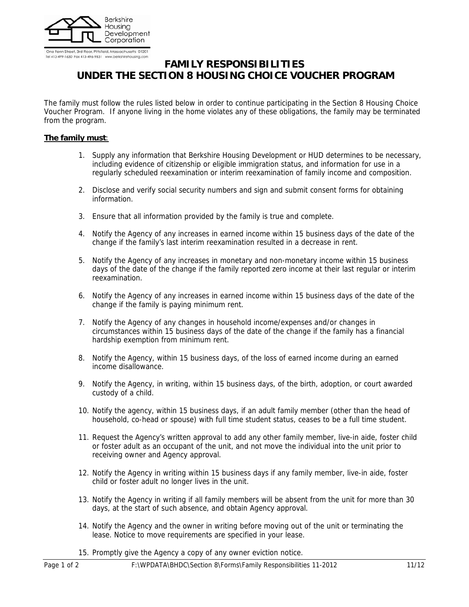

Tel 413-499-1630 Fax 413-496-9831 www.berkshirehousing.

# **FAMILY RESPONSIBILITIES UNDER THE SECTION 8 HOUSING CHOICE VOUCHER PROGRAM**

The family must follow the rules listed below in order to continue participating in the Section 8 Housing Choice Voucher Program. If anyone living in the home violates any of these obligations, the family may be terminated from the program.

## **The family must**:

- 1. Supply any information that Berkshire Housing Development or HUD determines to be necessary, including evidence of citizenship or eligible immigration status, and information for use in a regularly scheduled reexamination or interim reexamination of family income and composition.
- 2. Disclose and verify social security numbers and sign and submit consent forms for obtaining information.
- 3. Ensure that all information provided by the family is true and complete.
- 4. Notify the Agency of any increases in earned income within 15 business days of the date of the change if the family's last interim reexamination resulted in a decrease in rent.
- 5. Notify the Agency of any increases in monetary and non-monetary income within 15 business days of the date of the change if the family reported zero income at their last regular or interim reexamination.
- 6. Notify the Agency of any increases in earned income within 15 business days of the date of the change if the family is paying minimum rent.
- 7. Notify the Agency of any changes in household income/expenses and/or changes in circumstances within 15 business days of the date of the change if the family has a financial hardship exemption from minimum rent.
- 8. Notify the Agency, within 15 business days, of the loss of earned income during an earned income disallowance.
- 9. Notify the Agency, in writing, within 15 business days, of the birth, adoption, or court awarded custody of a child.
- 10. Notify the agency, within 15 business days, if an adult family member (other than the head of household, co-head or spouse) with full time student status, ceases to be a full time student.
- 11. Request the Agency's written approval to add any other family member, live-in aide, foster child or foster adult as an occupant of the unit, and not move the individual into the unit prior to receiving owner and Agency approval.
- 12. Notify the Agency in writing within 15 business days if any family member, live-in aide, foster child or foster adult no longer lives in the unit.
- 13. Notify the Agency in writing if all family members will be absent from the unit for more than 30 days, at the start of such absence, and obtain Agency approval.
- 14. Notify the Agency and the owner in writing before moving out of the unit or terminating the lease. Notice to move requirements are specified in your lease.
- 15. Promptly give the Agency a copy of any owner eviction notice.